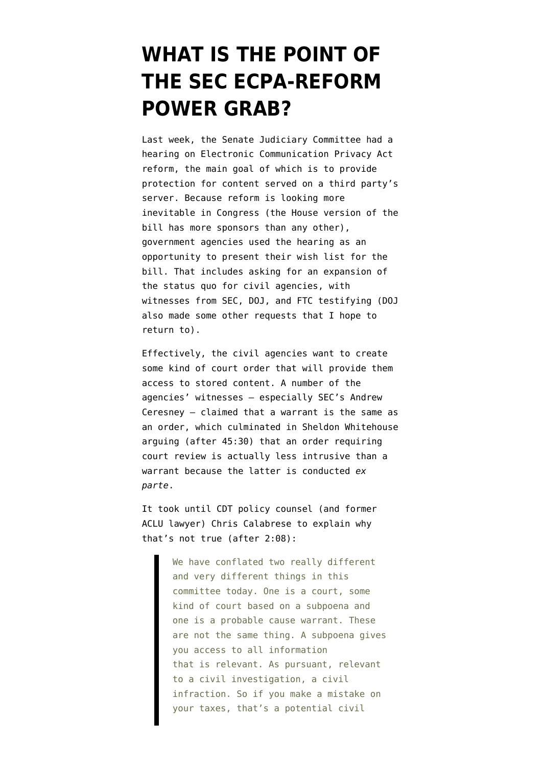## **[WHAT IS THE POINT OF](https://www.emptywheel.net/2015/09/22/what-is-the-point-of-the-sec-ecpa-reform-power-grab/) [THE SEC ECPA-REFORM](https://www.emptywheel.net/2015/09/22/what-is-the-point-of-the-sec-ecpa-reform-power-grab/) [POWER GRAB?](https://www.emptywheel.net/2015/09/22/what-is-the-point-of-the-sec-ecpa-reform-power-grab/)**

Last week, the Senate Judiciary Committee had a [hearing](http://www.c-span.org/video/?328157-1/hearing-electronic-privacy-reforms) on Electronic Communication Privacy Act reform, the main goal of which is to provide protection for content served on a third party's server. Because reform is looking more inevitable in Congress (the House version of the bill has more sponsors than any other), government agencies used the hearing as an opportunity to present their wish list for the bill. That includes asking for an expansion of the status quo for civil agencies, with witnesses from SEC, DOJ, and FTC testifying (DOJ also made some other requests that I hope to return to).

Effectively, the civil agencies want to create some kind of court order that will provide them access to stored content. A number of the agencies' witnesses — especially SEC's [Andrew](http://www.judiciary.senate.gov/imo/media/doc/09-16-15%20Ceresney%20Testimony.pdf) [Ceresney](http://www.judiciary.senate.gov/imo/media/doc/09-16-15%20Ceresney%20Testimony.pdf) — claimed that a warrant is the same as an order, which culminated in Sheldon Whitehouse arguing (after 45:30) that an order requiring court review is actually less intrusive than a warrant because the latter is conducted *ex parte*.

It took until CDT policy counsel (and former ACLU lawyer) Chris Calabrese to explain why that's not true (after 2:08):

> We have conflated two really different and very different things in this committee today. One is a court, some kind of court based on a subpoena and one is a probable cause warrant. These are not the same thing. A subpoena gives you access to all information that is relevant. As pursuant, relevant to a civil investigation, a civil infraction. So if you make a mistake on your taxes, that's a potential civil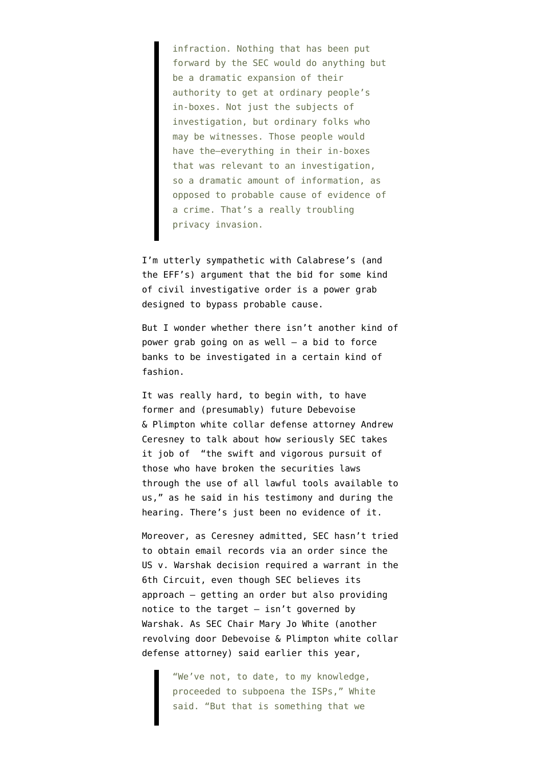infraction. Nothing that has been put forward by the SEC would do anything but be a dramatic expansion of their authority to get at ordinary people's in-boxes. Not just the subjects of investigation, but ordinary folks who may be witnesses. Those people would have the–everything in their in-boxes that was relevant to an investigation, so a dramatic amount of information, as opposed to probable cause of evidence of a crime. That's a really troubling privacy invasion.

I'm utterly sympathetic with Calabrese's (and [the EFF's\)](https://www.eff.org/deeplinks/2015/09/secs-power-grab-civil-agencies-try-weaken-ecpa-reform-legislation) argument that the bid for some kind of civil investigative order is a power grab designed to bypass probable cause.

But I wonder whether there isn't another kind of power grab going on as well — a bid to force banks to be investigated in a certain kind of fashion.

It was really hard, to begin with, to have former and (presumably) future Debevoise & Plimpton white collar defense attorney Andrew Ceresney to talk about how seriously SEC takes it job of "the swift and vigorous pursuit of those who have broken the securities laws through the use of all lawful tools available to us," as he said in [his testimony](http://www.judiciary.senate.gov/imo/media/doc/09-16-15%20Ceresney%20Testimony.pdf) and during the hearing. There's just been no evidence of it.

Moreover, as Ceresney admitted, SEC hasn't tried to obtain email records via an order since the [US v. Warshak](https://www.google.com/url?sa=t&rct=j&q=&esrc=s&source=web&cd=4&cad=rja&uact=8&ved=0CD4QFjADahUKEwiiiNPQ3YrIAhXWgJIKHfowAFY&url=http%3A%2F%2Fwww.ca6.uscourts.gov%2Fopinions.pdf%2F10a0377p-06.pdf&usg=AFQjCNEkEIlqmwc7HVb55mm6qfRASklYRg&sig2=rIY2I0eMSfL_vLtPbMpvOg&bvm=bv.103073922,d.aWw) decision required a warrant in the 6th Circuit, even though SEC believes its approach — getting an order but also providing notice to the target  $-$  isn't governed by Warshak. As SEC Chair Mary Jo White (another revolving door Debevoise & Plimpton white collar defense attorney) [said](http://www.nationaljournal.com/tech/2015/04/16/SEC-Reveals-Doesnt-Use-Email-Snooping-Power-Defends) earlier this year,

> "We've not, to date, to my knowledge, proceeded to subpoena the ISPs," White said. "But that is something that we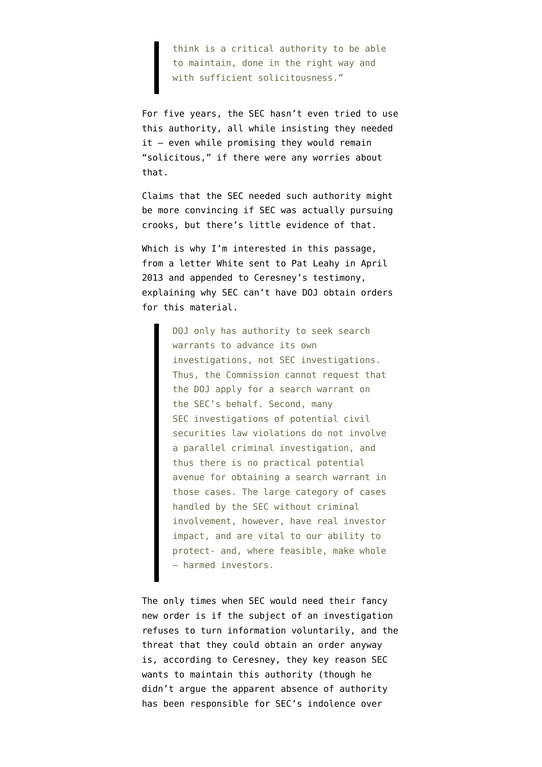think is a critical authority to be able to maintain, done in the right way and with sufficient solicitousness."

For five years, the SEC hasn't even tried to use this authority, all while insisting they needed it — even while promising they would remain "solicitous," if there were any worries about that.

Claims that the SEC needed such authority might be more convincing if SEC was actually pursuing crooks, but there's little evidence of that.

Which is why I'm interested in this passage, from a letter White sent to Pat Leahy in April 2013 and appended to Ceresney's testimony, explaining why SEC can't have DOJ obtain orders for this material.

> DOJ only has authority to seek search warrants to advance its own investigations, not SEC investigations. Thus, the Commission cannot request that the DOJ apply for a search warrant on the SEC's behalf. Second, many SEC investigations of potential civil securities law violations do not involve a parallel criminal investigation, and thus there is no practical potential avenue for obtaining a search warrant in those cases. The large category of cases handled by the SEC without criminal involvement, however, have real investor impact, and are vital to our ability to protect- and, where feasible, make whole – harmed investors.

The only times when SEC would need their fancy new order is if the subject of an investigation refuses to turn information voluntarily, and the threat that they could obtain an order anyway is, according to Ceresney, they key reason SEC wants to maintain this authority (though he didn't argue the apparent absence of authority has been responsible for SEC's indolence over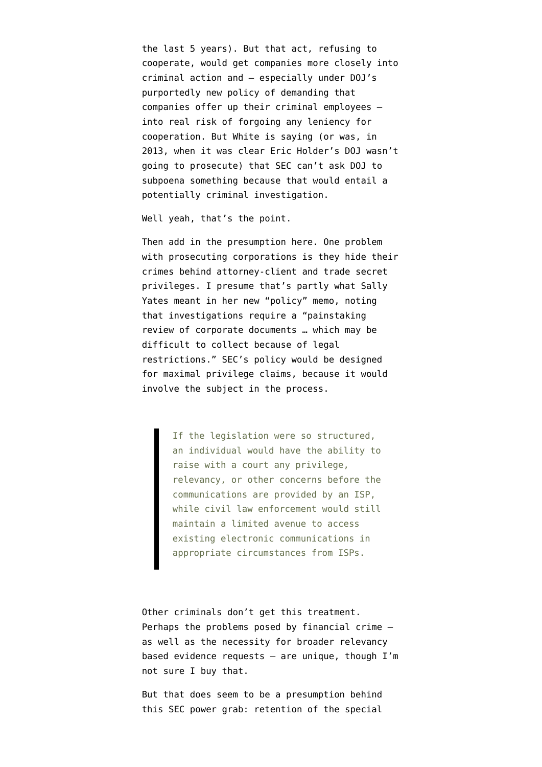the last 5 years). But that act, refusing to cooperate, would get companies more closely into criminal action and — especially under [DOJ's](https://assets.documentcloud.org/documents/2393039/justice-dept-memo-on-corporate-wrongdoing.pdf) [purportedly new policy](https://assets.documentcloud.org/documents/2393039/justice-dept-memo-on-corporate-wrongdoing.pdf) of demanding that companies offer up their criminal employees into real risk of forgoing any leniency for cooperation. But White is saying (or was, in 2013, when it was clear Eric Holder's DOJ wasn't going to prosecute) that SEC can't ask DOJ to subpoena something because that would entail a potentially criminal investigation.

Well yeah, that's the point.

Then add in the presumption here. One problem with prosecuting corporations is they hide their crimes behind attorney-client and trade secret privileges. I presume that's partly what Sally Yates meant in her new "policy" memo, noting that investigations require a "painstaking review of corporate documents … which may be difficult to collect because of legal restrictions." SEC's policy would be designed for maximal privilege claims, because it would involve the subject in the process.

> If the legislation were so structured, an individual would have the ability to raise with a court any privilege, relevancy, or other concerns before the communications are provided by an ISP, while civil law enforcement would still maintain a limited avenue to access existing electronic communications in appropriate circumstances from ISPs.

Other criminals don't get this treatment. Perhaps the problems posed by financial crime as well as the necessity for broader relevancy based evidence requests — are unique, though I'm not sure I buy that.

But that does seem to be a presumption behind this SEC power grab: retention of the special